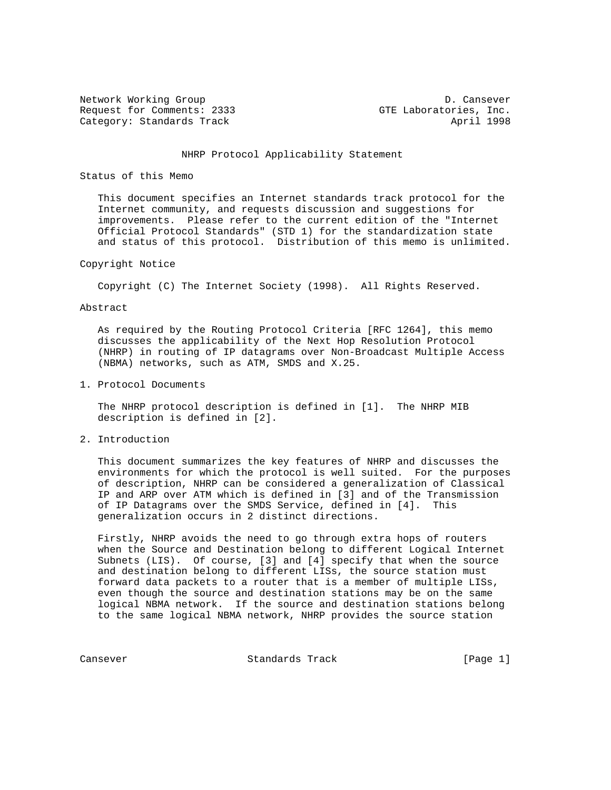Network Working Group D. Cansever Request for Comments: 2333 GTE Laboratories, Inc. Category: Standards Track April 1998

# NHRP Protocol Applicability Statement

# Status of this Memo

 This document specifies an Internet standards track protocol for the Internet community, and requests discussion and suggestions for improvements. Please refer to the current edition of the "Internet Official Protocol Standards" (STD 1) for the standardization state and status of this protocol. Distribution of this memo is unlimited.

# Copyright Notice

Copyright (C) The Internet Society (1998). All Rights Reserved.

#### Abstract

 As required by the Routing Protocol Criteria [RFC 1264], this memo discusses the applicability of the Next Hop Resolution Protocol (NHRP) in routing of IP datagrams over Non-Broadcast Multiple Access (NBMA) networks, such as ATM, SMDS and X.25.

1. Protocol Documents

 The NHRP protocol description is defined in [1]. The NHRP MIB description is defined in [2].

2. Introduction

 This document summarizes the key features of NHRP and discusses the environments for which the protocol is well suited. For the purposes of description, NHRP can be considered a generalization of Classical IP and ARP over ATM which is defined in [3] and of the Transmission of IP Datagrams over the SMDS Service, defined in [4]. This generalization occurs in 2 distinct directions.

 Firstly, NHRP avoids the need to go through extra hops of routers when the Source and Destination belong to different Logical Internet Subnets (LIS). Of course, [3] and [4] specify that when the source and destination belong to different LISs, the source station must forward data packets to a router that is a member of multiple LISs, even though the source and destination stations may be on the same logical NBMA network. If the source and destination stations belong to the same logical NBMA network, NHRP provides the source station

Cansever **Standards Track** [Page 1]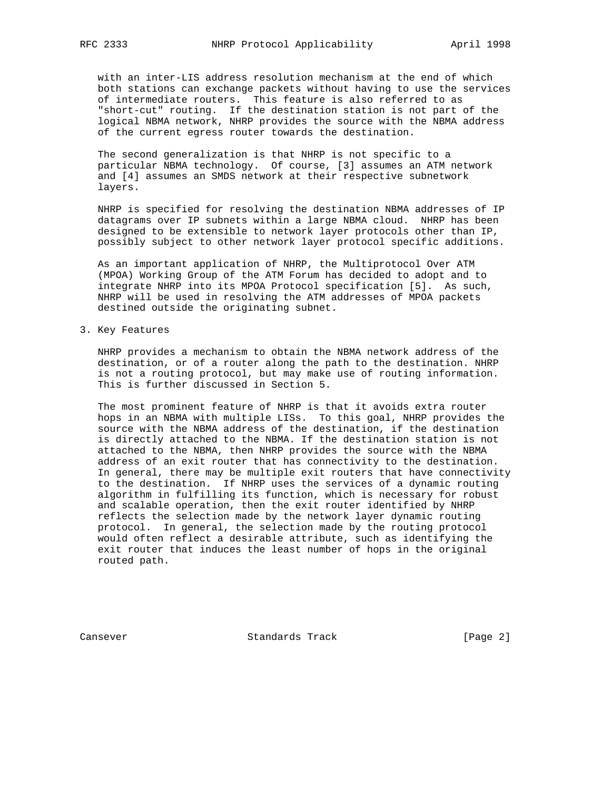with an inter-LIS address resolution mechanism at the end of which both stations can exchange packets without having to use the services of intermediate routers. This feature is also referred to as "short-cut" routing. If the destination station is not part of the logical NBMA network, NHRP provides the source with the NBMA address of the current egress router towards the destination.

 The second generalization is that NHRP is not specific to a particular NBMA technology. Of course, [3] assumes an ATM network and [4] assumes an SMDS network at their respective subnetwork layers.

 NHRP is specified for resolving the destination NBMA addresses of IP datagrams over IP subnets within a large NBMA cloud. NHRP has been designed to be extensible to network layer protocols other than IP, possibly subject to other network layer protocol specific additions.

 As an important application of NHRP, the Multiprotocol Over ATM (MPOA) Working Group of the ATM Forum has decided to adopt and to integrate NHRP into its MPOA Protocol specification [5]. As such, NHRP will be used in resolving the ATM addresses of MPOA packets destined outside the originating subnet.

3. Key Features

 NHRP provides a mechanism to obtain the NBMA network address of the destination, or of a router along the path to the destination. NHRP is not a routing protocol, but may make use of routing information. This is further discussed in Section 5.

 The most prominent feature of NHRP is that it avoids extra router hops in an NBMA with multiple LISs. To this goal, NHRP provides the source with the NBMA address of the destination, if the destination is directly attached to the NBMA. If the destination station is not attached to the NBMA, then NHRP provides the source with the NBMA address of an exit router that has connectivity to the destination. In general, there may be multiple exit routers that have connectivity to the destination. If NHRP uses the services of a dynamic routing algorithm in fulfilling its function, which is necessary for robust and scalable operation, then the exit router identified by NHRP reflects the selection made by the network layer dynamic routing protocol. In general, the selection made by the routing protocol would often reflect a desirable attribute, such as identifying the exit router that induces the least number of hops in the original routed path.

Cansever Standards Track [Page 2]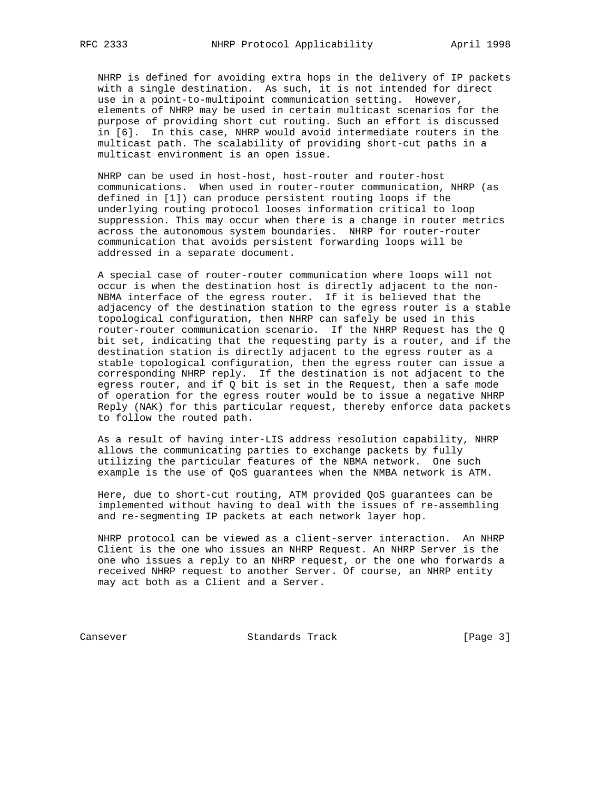NHRP is defined for avoiding extra hops in the delivery of IP packets with a single destination. As such, it is not intended for direct use in a point-to-multipoint communication setting. However, elements of NHRP may be used in certain multicast scenarios for the purpose of providing short cut routing. Such an effort is discussed in [6]. In this case, NHRP would avoid intermediate routers in the multicast path. The scalability of providing short-cut paths in a multicast environment is an open issue.

 NHRP can be used in host-host, host-router and router-host communications. When used in router-router communication, NHRP (as defined in [1]) can produce persistent routing loops if the underlying routing protocol looses information critical to loop suppression. This may occur when there is a change in router metrics across the autonomous system boundaries. NHRP for router-router communication that avoids persistent forwarding loops will be addressed in a separate document.

 A special case of router-router communication where loops will not occur is when the destination host is directly adjacent to the non- NBMA interface of the egress router. If it is believed that the adjacency of the destination station to the egress router is a stable topological configuration, then NHRP can safely be used in this router-router communication scenario. If the NHRP Request has the Q bit set, indicating that the requesting party is a router, and if the destination station is directly adjacent to the egress router as a stable topological configuration, then the egress router can issue a corresponding NHRP reply. If the destination is not adjacent to the egress router, and if Q bit is set in the Request, then a safe mode of operation for the egress router would be to issue a negative NHRP Reply (NAK) for this particular request, thereby enforce data packets to follow the routed path.

 As a result of having inter-LIS address resolution capability, NHRP allows the communicating parties to exchange packets by fully utilizing the particular features of the NBMA network. One such example is the use of QoS guarantees when the NMBA network is ATM.

 Here, due to short-cut routing, ATM provided QoS guarantees can be implemented without having to deal with the issues of re-assembling and re-segmenting IP packets at each network layer hop.

 NHRP protocol can be viewed as a client-server interaction. An NHRP Client is the one who issues an NHRP Request. An NHRP Server is the one who issues a reply to an NHRP request, or the one who forwards a received NHRP request to another Server. Of course, an NHRP entity may act both as a Client and a Server.

Cansever Standards Track [Page 3]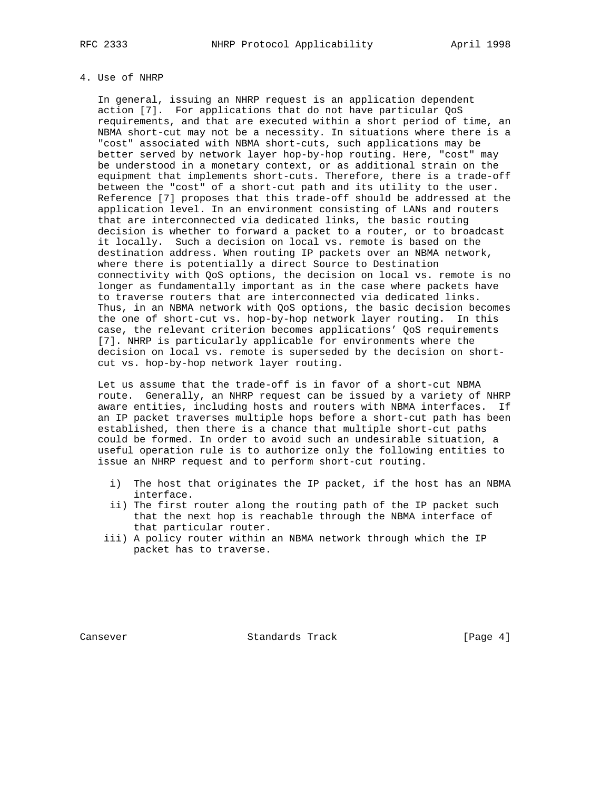# 4. Use of NHRP

 In general, issuing an NHRP request is an application dependent action [7]. For applications that do not have particular QoS requirements, and that are executed within a short period of time, an NBMA short-cut may not be a necessity. In situations where there is a "cost" associated with NBMA short-cuts, such applications may be better served by network layer hop-by-hop routing. Here, "cost" may be understood in a monetary context, or as additional strain on the equipment that implements short-cuts. Therefore, there is a trade-off between the "cost" of a short-cut path and its utility to the user. Reference [7] proposes that this trade-off should be addressed at the application level. In an environment consisting of LANs and routers that are interconnected via dedicated links, the basic routing decision is whether to forward a packet to a router, or to broadcast it locally. Such a decision on local vs. remote is based on the destination address. When routing IP packets over an NBMA network, where there is potentially a direct Source to Destination connectivity with QoS options, the decision on local vs. remote is no longer as fundamentally important as in the case where packets have to traverse routers that are interconnected via dedicated links. Thus, in an NBMA network with QoS options, the basic decision becomes the one of short-cut vs. hop-by-hop network layer routing. In this case, the relevant criterion becomes applications' QoS requirements [7]. NHRP is particularly applicable for environments where the decision on local vs. remote is superseded by the decision on short cut vs. hop-by-hop network layer routing.

 Let us assume that the trade-off is in favor of a short-cut NBMA route. Generally, an NHRP request can be issued by a variety of NHRP aware entities, including hosts and routers with NBMA interfaces. If an IP packet traverses multiple hops before a short-cut path has been established, then there is a chance that multiple short-cut paths could be formed. In order to avoid such an undesirable situation, a useful operation rule is to authorize only the following entities to issue an NHRP request and to perform short-cut routing.

- i) The host that originates the IP packet, if the host has an NBMA interface.
- ii) The first router along the routing path of the IP packet such that the next hop is reachable through the NBMA interface of that particular router.
- iii) A policy router within an NBMA network through which the IP packet has to traverse.

Cansever **Standards Track** [Page 4]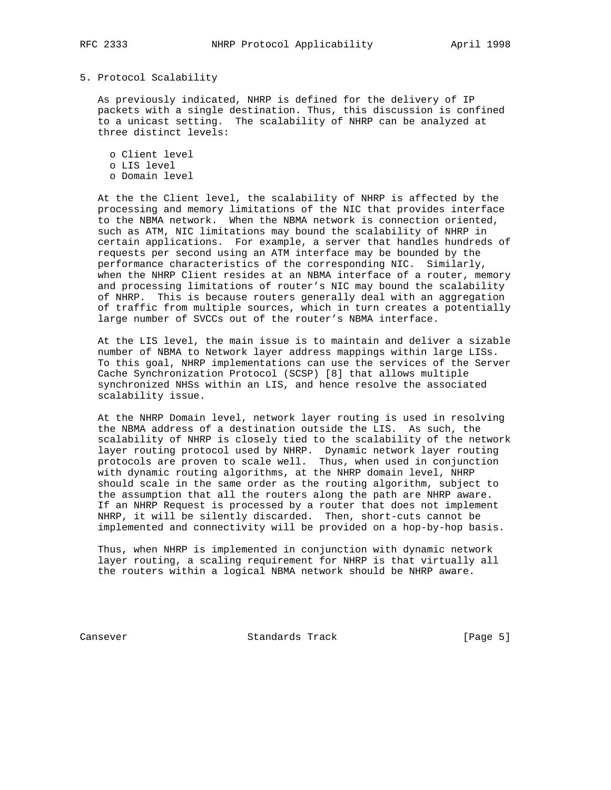# 5. Protocol Scalability

 As previously indicated, NHRP is defined for the delivery of IP packets with a single destination. Thus, this discussion is confined to a unicast setting. The scalability of NHRP can be analyzed at three distinct levels:

 o Client level o LIS level o Domain level

 At the the Client level, the scalability of NHRP is affected by the processing and memory limitations of the NIC that provides interface to the NBMA network. When the NBMA network is connection oriented, such as ATM, NIC limitations may bound the scalability of NHRP in certain applications. For example, a server that handles hundreds of requests per second using an ATM interface may be bounded by the performance characteristics of the corresponding NIC. Similarly, when the NHRP Client resides at an NBMA interface of a router, memory and processing limitations of router's NIC may bound the scalability of NHRP. This is because routers generally deal with an aggregation of traffic from multiple sources, which in turn creates a potentially large number of SVCCs out of the router's NBMA interface.

 At the LIS level, the main issue is to maintain and deliver a sizable number of NBMA to Network layer address mappings within large LISs. To this goal, NHRP implementations can use the services of the Server Cache Synchronization Protocol (SCSP) [8] that allows multiple synchronized NHSs within an LIS, and hence resolve the associated scalability issue.

 At the NHRP Domain level, network layer routing is used in resolving the NBMA address of a destination outside the LIS. As such, the scalability of NHRP is closely tied to the scalability of the network layer routing protocol used by NHRP. Dynamic network layer routing protocols are proven to scale well. Thus, when used in conjunction with dynamic routing algorithms, at the NHRP domain level, NHRP should scale in the same order as the routing algorithm, subject to the assumption that all the routers along the path are NHRP aware. If an NHRP Request is processed by a router that does not implement NHRP, it will be silently discarded. Then, short-cuts cannot be implemented and connectivity will be provided on a hop-by-hop basis.

 Thus, when NHRP is implemented in conjunction with dynamic network layer routing, a scaling requirement for NHRP is that virtually all the routers within a logical NBMA network should be NHRP aware.

Cansever Standards Track [Page 5]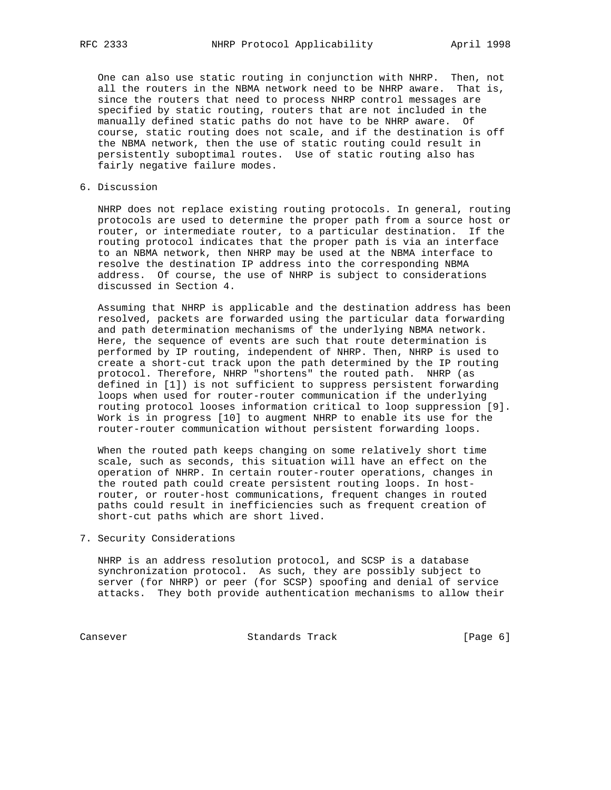One can also use static routing in conjunction with NHRP. Then, not all the routers in the NBMA network need to be NHRP aware. That is, since the routers that need to process NHRP control messages are specified by static routing, routers that are not included in the manually defined static paths do not have to be NHRP aware. Of course, static routing does not scale, and if the destination is off the NBMA network, then the use of static routing could result in persistently suboptimal routes. Use of static routing also has fairly negative failure modes.

### 6. Discussion

 NHRP does not replace existing routing protocols. In general, routing protocols are used to determine the proper path from a source host or router, or intermediate router, to a particular destination. If the routing protocol indicates that the proper path is via an interface to an NBMA network, then NHRP may be used at the NBMA interface to resolve the destination IP address into the corresponding NBMA address. Of course, the use of NHRP is subject to considerations discussed in Section 4.

 Assuming that NHRP is applicable and the destination address has been resolved, packets are forwarded using the particular data forwarding and path determination mechanisms of the underlying NBMA network. Here, the sequence of events are such that route determination is performed by IP routing, independent of NHRP. Then, NHRP is used to create a short-cut track upon the path determined by the IP routing protocol. Therefore, NHRP "shortens" the routed path. NHRP (as defined in [1]) is not sufficient to suppress persistent forwarding loops when used for router-router communication if the underlying routing protocol looses information critical to loop suppression [9]. Work is in progress [10] to augment NHRP to enable its use for the router-router communication without persistent forwarding loops.

 When the routed path keeps changing on some relatively short time scale, such as seconds, this situation will have an effect on the operation of NHRP. In certain router-router operations, changes in the routed path could create persistent routing loops. In host router, or router-host communications, frequent changes in routed paths could result in inefficiencies such as frequent creation of short-cut paths which are short lived.

## 7. Security Considerations

 NHRP is an address resolution protocol, and SCSP is a database synchronization protocol. As such, they are possibly subject to server (for NHRP) or peer (for SCSP) spoofing and denial of service attacks. They both provide authentication mechanisms to allow their

Cansever Standards Track [Page 6]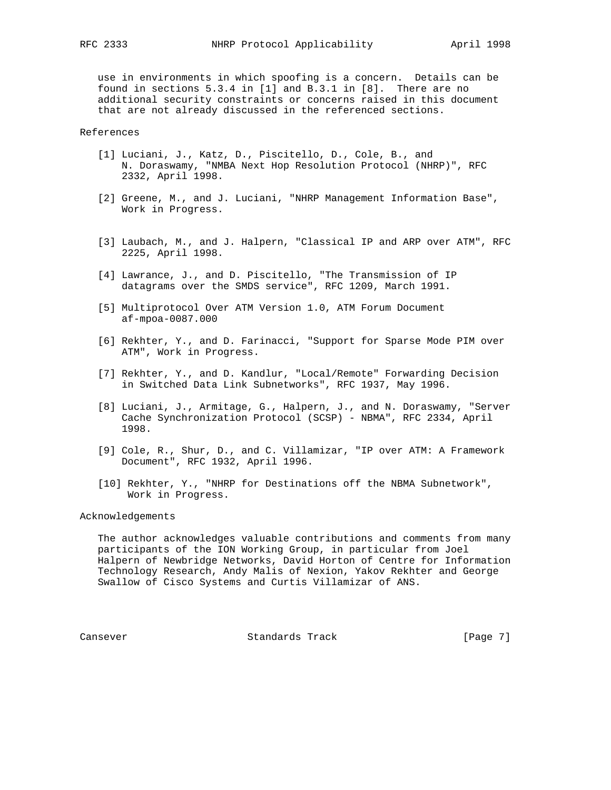use in environments in which spoofing is a concern. Details can be found in sections 5.3.4 in [1] and B.3.1 in [8]. There are no additional security constraints or concerns raised in this document that are not already discussed in the referenced sections.

References

- [1] Luciani, J., Katz, D., Piscitello, D., Cole, B., and N. Doraswamy, "NMBA Next Hop Resolution Protocol (NHRP)", RFC 2332, April 1998.
- [2] Greene, M., and J. Luciani, "NHRP Management Information Base", Work in Progress.
- [3] Laubach, M., and J. Halpern, "Classical IP and ARP over ATM", RFC 2225, April 1998.
- [4] Lawrance, J., and D. Piscitello, "The Transmission of IP datagrams over the SMDS service", RFC 1209, March 1991.
- [5] Multiprotocol Over ATM Version 1.0, ATM Forum Document af-mpoa-0087.000
- [6] Rekhter, Y., and D. Farinacci, "Support for Sparse Mode PIM over ATM", Work in Progress.
- [7] Rekhter, Y., and D. Kandlur, "Local/Remote" Forwarding Decision in Switched Data Link Subnetworks", RFC 1937, May 1996.
- [8] Luciani, J., Armitage, G., Halpern, J., and N. Doraswamy, "Server Cache Synchronization Protocol (SCSP) - NBMA", RFC 2334, April 1998.
- [9] Cole, R., Shur, D., and C. Villamizar, "IP over ATM: A Framework Document", RFC 1932, April 1996.
- [10] Rekhter, Y., "NHRP for Destinations off the NBMA Subnetwork", Work in Progress.

Acknowledgements

 The author acknowledges valuable contributions and comments from many participants of the ION Working Group, in particular from Joel Halpern of Newbridge Networks, David Horton of Centre for Information Technology Research, Andy Malis of Nexion, Yakov Rekhter and George Swallow of Cisco Systems and Curtis Villamizar of ANS.

Cansever **Standards Track** [Page 7]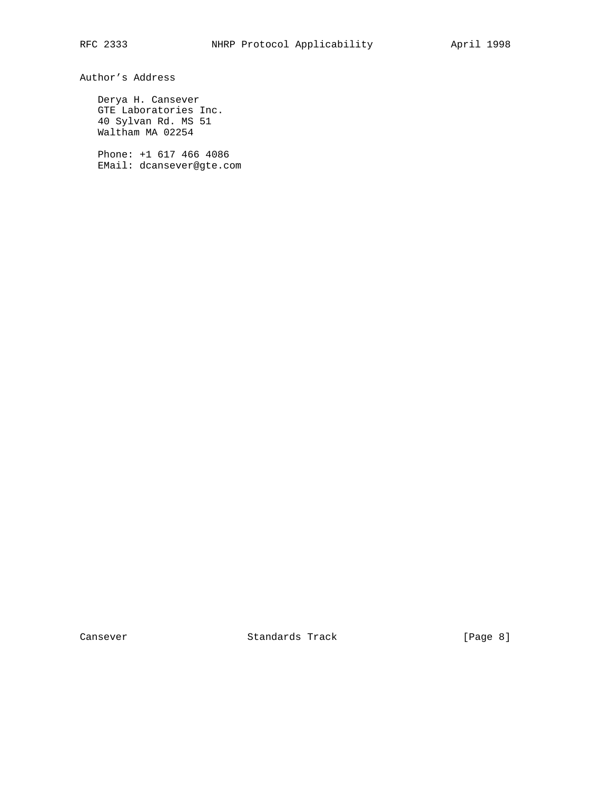Author's Address

 Derya H. Cansever GTE Laboratories Inc. 40 Sylvan Rd. MS 51 Waltham MA 02254

 Phone: +1 617 466 4086 EMail: dcansever@gte.com

Cansever Standards Track [Page 8]